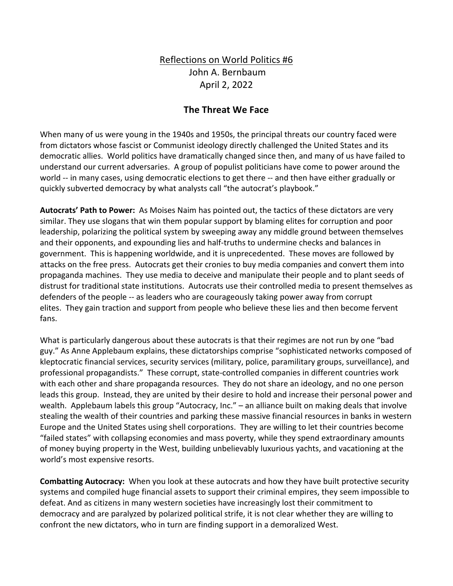## Reflections on World Politics #6 John A. Bernbaum April 2, 2022

## **The Threat We Face**

When many of us were young in the 1940s and 1950s, the principal threats our country faced were from dictators whose fascist or Communist ideology directly challenged the United States and its democratic allies. World politics have dramatically changed since then, and many of us have failed to understand our current adversaries. A group of populist politicians have come to power around the world -- in many cases, using democratic elections to get there -- and then have either gradually or quickly subverted democracy by what analysts call "the autocrat's playbook."

**Autocrats' Path to Power:** As Moises Naim has pointed out, the tactics of these dictators are very similar. They use slogans that win them popular support by blaming elites for corruption and poor leadership, polarizing the political system by sweeping away any middle ground between themselves and their opponents, and expounding lies and half-truths to undermine checks and balances in government. This is happening worldwide, and it is unprecedented. These moves are followed by attacks on the free press. Autocrats get their cronies to buy media companies and convert them into propaganda machines. They use media to deceive and manipulate their people and to plant seeds of distrust for traditional state institutions. Autocrats use their controlled media to present themselves as defenders of the people -- as leaders who are courageously taking power away from corrupt elites. They gain traction and support from people who believe these lies and then become fervent fans.

What is particularly dangerous about these autocrats is that their regimes are not run by one "bad guy." As Anne Applebaum explains, these dictatorships comprise "sophisticated networks composed of kleptocratic financial services, security services (military, police, paramilitary groups, surveillance), and professional propagandists." These corrupt, state-controlled companies in different countries work with each other and share propaganda resources. They do not share an ideology, and no one person leads this group. Instead, they are united by their desire to hold and increase their personal power and wealth. Applebaum labels this group "Autocracy, Inc." – an alliance built on making deals that involve stealing the wealth of their countries and parking these massive financial resources in banks in western Europe and the United States using shell corporations. They are willing to let their countries become "failed states" with collapsing economies and mass poverty, while they spend extraordinary amounts of money buying property in the West, building unbelievably luxurious yachts, and vacationing at the world's most expensive resorts.

**Combatting Autocracy:** When you look at these autocrats and how they have built protective security systems and compiled huge financial assets to support their criminal empires, they seem impossible to defeat. And as citizens in many western societies have increasingly lost their commitment to democracy and are paralyzed by polarized political strife, it is not clear whether they are willing to confront the new dictators, who in turn are finding support in a demoralized West.